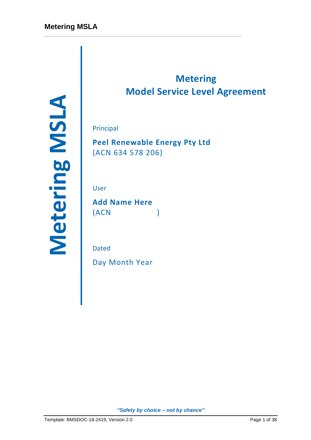Principal<br>
Peel Renewable Energy Pty Ltd<br>
(ACN 634 578 206)<br>
User<br>
Add Name Here<br>
(ACN )<br>
Dated<br>
Day Month Year<br>
Page 1 of 38 *Meter*<br>
Page 1 of 38 *Metering Pty choice - not by chance*<br>
Turnplate BMSDOC-18-2419, Version 2

# **Metering Model Service Level Agreement**

Principal

**Peel Renewable Energy Pty Ltd** (ACN 634 578 206)

User

**Add Name Here** (ACN )

Dated

Day Month Year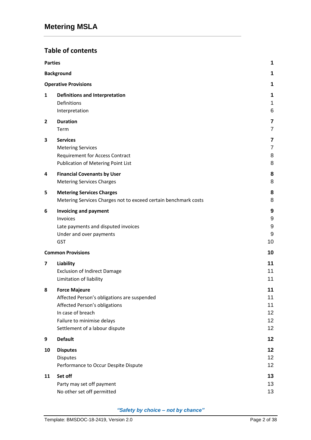# **Table of contents**

| <b>Parties</b> |                                                                                                                                                                                           | 1                                |
|----------------|-------------------------------------------------------------------------------------------------------------------------------------------------------------------------------------------|----------------------------------|
|                | <b>Background</b>                                                                                                                                                                         | 1                                |
|                | <b>Operative Provisions</b>                                                                                                                                                               | 1                                |
| 1              | <b>Definitions and Interpretation</b><br>Definitions<br>Interpretation                                                                                                                    | 1<br>1<br>6                      |
| $\overline{2}$ | <b>Duration</b><br>Term                                                                                                                                                                   | 7<br>7                           |
| 3              | <b>Services</b><br><b>Metering Services</b><br><b>Requirement for Access Contract</b><br>Publication of Metering Point List                                                               | 7<br>$\overline{7}$<br>8<br>8    |
| 4              | <b>Financial Covenants by User</b><br><b>Metering Services Charges</b>                                                                                                                    | 8<br>8                           |
| 5              | <b>Metering Services Charges</b><br>Metering Services Charges not to exceed certain benchmark costs                                                                                       | 8<br>8                           |
| 6              | <b>Invoicing and payment</b><br>Invoices<br>Late payments and disputed invoices<br>Under and over payments<br><b>GST</b>                                                                  | 9<br>9<br>9<br>9<br>10           |
|                | <b>Common Provisions</b>                                                                                                                                                                  | 10                               |
| 7              | Liability<br><b>Exclusion of Indirect Damage</b><br>Limitation of liability                                                                                                               | 11<br>11<br>11                   |
| 8              | <b>Force Majeure</b><br>Affected Person's obligations are suspended<br>Affected Person's obligations<br>In case of breach<br>Failure to minimise delays<br>Settlement of a labour dispute | 11<br>11<br>11<br>12<br>12<br>12 |
| 9              | <b>Default</b>                                                                                                                                                                            | 12                               |
| 10             | <b>Disputes</b><br><b>Disputes</b><br>Performance to Occur Despite Dispute                                                                                                                | 12<br>12<br>12                   |
| 11             | Set off<br>Party may set off payment<br>No other set off permitted                                                                                                                        | 13<br>13<br>13                   |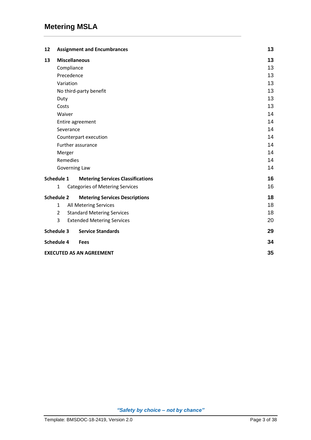| 12                |              | <b>Assignment and Encumbrances</b>       | 13 |
|-------------------|--------------|------------------------------------------|----|
| 13                |              | <b>Miscellaneous</b>                     | 13 |
|                   |              | Compliance                               | 13 |
|                   |              | Precedence                               | 13 |
|                   |              | Variation                                | 13 |
|                   |              | No third-party benefit                   | 13 |
|                   | Duty         |                                          | 13 |
|                   | Costs        |                                          | 13 |
|                   | Waiver       |                                          | 14 |
|                   |              | Entire agreement                         | 14 |
|                   |              | Severance                                | 14 |
|                   |              | Counterpart execution                    | 14 |
|                   |              | Further assurance                        | 14 |
|                   | Merger       |                                          | 14 |
|                   |              | Remedies                                 | 14 |
|                   |              | Governing Law                            | 14 |
| Schedule 1        |              | <b>Metering Services Classifications</b> | 16 |
|                   | $\mathbf{1}$ | <b>Categories of Metering Services</b>   | 16 |
| <b>Schedule 2</b> |              | <b>Metering Services Descriptions</b>    | 18 |
|                   | $\mathbf{1}$ | All Metering Services                    | 18 |
|                   | 2            | <b>Standard Metering Services</b>        | 18 |
|                   | 3            | <b>Extended Metering Services</b>        | 20 |
| <b>Schedule 3</b> |              | <b>Service Standards</b>                 | 29 |
| Schedule 4        |              | <b>Fees</b>                              | 34 |
|                   |              | <b>EXECUTED AS AN AGREEMENT</b>          | 35 |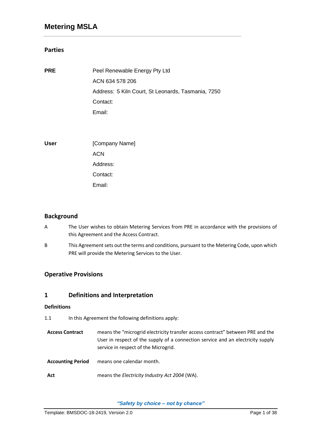### **Parties**

| <b>PRE</b>  | Peel Renewable Energy Pty Ltd                      |
|-------------|----------------------------------------------------|
|             | ACN 634 578 206                                    |
|             | Address: 5 Kiln Court, St Leonards, Tasmania, 7250 |
|             | Contact:                                           |
|             | Email:                                             |
|             |                                                    |
|             |                                                    |
| <b>User</b> | [Company Name]                                     |
|             | <b>ACN</b>                                         |
|             | Address:                                           |

Contact:

Email:

### **Background**

- A The User wishes to obtain Metering Services from PRE in accordance with the provisions of this Agreement and the Access Contract.
- B This Agreement sets out the terms and conditions, pursuant to the Metering Code, upon which PRE will provide the Metering Services to the User.

### **Operative Provisions**

### **1 Definitions and Interpretation**

### **Definitions**

- 1.1 In this Agreement the following definitions apply:
- **Access Contract** means the "microgrid electricity transfer access contract" between PRE and the User in respect of the supply of a connection service and an electricity supply service in respect of the Microgrid.
- **Accounting Period** means one calendar month.
- **Act** means the *Electricity Industry Act 2004* (WA).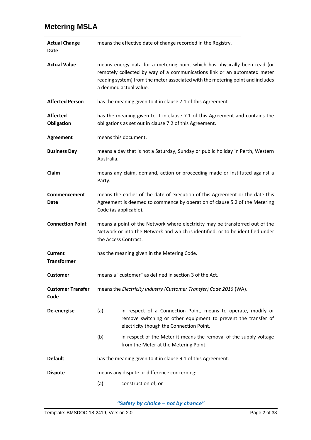| <b>Actual Change</b><br>Date     | means the effective date of change recorded in the Registry.                                                                                                                                                                                                      |                                                                                                                                                                             |  |
|----------------------------------|-------------------------------------------------------------------------------------------------------------------------------------------------------------------------------------------------------------------------------------------------------------------|-----------------------------------------------------------------------------------------------------------------------------------------------------------------------------|--|
| <b>Actual Value</b>              | means energy data for a metering point which has physically been read (or<br>remotely collected by way of a communications link or an automated meter<br>reading system) from the meter associated with the metering point and includes<br>a deemed actual value. |                                                                                                                                                                             |  |
| <b>Affected Person</b>           |                                                                                                                                                                                                                                                                   | has the meaning given to it in clause 7.1 of this Agreement.                                                                                                                |  |
| <b>Affected</b><br>Obligation    |                                                                                                                                                                                                                                                                   | has the meaning given to it in clause 7.1 of this Agreement and contains the<br>obligations as set out in clause 7.2 of this Agreement.                                     |  |
| <b>Agreement</b>                 |                                                                                                                                                                                                                                                                   | means this document.                                                                                                                                                        |  |
| <b>Business Day</b>              | Australia.                                                                                                                                                                                                                                                        | means a day that is not a Saturday, Sunday or public holiday in Perth, Western                                                                                              |  |
| Claim                            | Party.                                                                                                                                                                                                                                                            | means any claim, demand, action or proceeding made or instituted against a                                                                                                  |  |
| Commencement<br>Date             | means the earlier of the date of execution of this Agreement or the date this<br>Agreement is deemed to commence by operation of clause 5.2 of the Metering<br>Code (as applicable).                                                                              |                                                                                                                                                                             |  |
| <b>Connection Point</b>          | means a point of the Network where electricity may be transferred out of the<br>Network or into the Network and which is identified, or to be identified under<br>the Access Contract.                                                                            |                                                                                                                                                                             |  |
| Current<br><b>Transformer</b>    | has the meaning given in the Metering Code.                                                                                                                                                                                                                       |                                                                                                                                                                             |  |
| <b>Customer</b>                  |                                                                                                                                                                                                                                                                   | means a "customer" as defined in section 3 of the Act.                                                                                                                      |  |
| <b>Customer Transfer</b><br>Code | means the Electricity Industry (Customer Transfer) Code 2016 (WA).                                                                                                                                                                                                |                                                                                                                                                                             |  |
| De-energise                      | (a)                                                                                                                                                                                                                                                               | in respect of a Connection Point, means to operate, modify or<br>remove switching or other equipment to prevent the transfer of<br>electricity though the Connection Point. |  |
|                                  | (b)                                                                                                                                                                                                                                                               | in respect of the Meter it means the removal of the supply voltage<br>from the Meter at the Metering Point.                                                                 |  |
| <b>Default</b>                   |                                                                                                                                                                                                                                                                   | has the meaning given to it in clause 9.1 of this Agreement.                                                                                                                |  |
| <b>Dispute</b>                   | means any dispute or difference concerning:                                                                                                                                                                                                                       |                                                                                                                                                                             |  |
|                                  | (a)                                                                                                                                                                                                                                                               | construction of; or                                                                                                                                                         |  |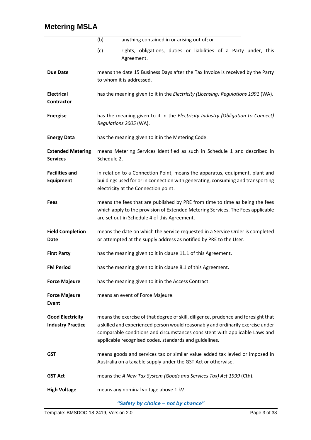|                                                     | anything contained in or arising out of; or<br>(b)                                                                                                                                                                                                                                                             |  |  |
|-----------------------------------------------------|----------------------------------------------------------------------------------------------------------------------------------------------------------------------------------------------------------------------------------------------------------------------------------------------------------------|--|--|
|                                                     | (c)<br>rights, obligations, duties or liabilities of a Party under, this<br>Agreement.                                                                                                                                                                                                                         |  |  |
| <b>Due Date</b>                                     | means the date 15 Business Days after the Tax Invoice is received by the Party<br>to whom it is addressed.                                                                                                                                                                                                     |  |  |
| <b>Electrical</b><br><b>Contractor</b>              | has the meaning given to it in the Electricity (Licensing) Regulations 1991 (WA).                                                                                                                                                                                                                              |  |  |
| <b>Energise</b>                                     | has the meaning given to it in the Electricity Industry (Obligation to Connect)<br>Regulations 2005 (WA).                                                                                                                                                                                                      |  |  |
| <b>Energy Data</b>                                  | has the meaning given to it in the Metering Code.                                                                                                                                                                                                                                                              |  |  |
| <b>Extended Metering</b><br><b>Services</b>         | means Metering Services identified as such in Schedule 1 and described in<br>Schedule 2.                                                                                                                                                                                                                       |  |  |
| <b>Facilities and</b><br><b>Equipment</b>           | in relation to a Connection Point, means the apparatus, equipment, plant and<br>buildings used for or in connection with generating, consuming and transporting<br>electricity at the Connection point.                                                                                                        |  |  |
| <b>Fees</b>                                         | means the fees that are published by PRE from time to time as being the fees<br>which apply to the provision of Extended Metering Services. The Fees applicable<br>are set out in Schedule 4 of this Agreement.                                                                                                |  |  |
| <b>Field Completion</b><br>Date                     | means the date on which the Service requested in a Service Order is completed<br>or attempted at the supply address as notified by PRE to the User.                                                                                                                                                            |  |  |
| <b>First Party</b>                                  | has the meaning given to it in clause 11.1 of this Agreement.                                                                                                                                                                                                                                                  |  |  |
| FM Period                                           | has the meaning given to it in clause 8.1 of this Agreement.                                                                                                                                                                                                                                                   |  |  |
| <b>Force Majeure</b>                                | has the meaning given to it in the Access Contract.                                                                                                                                                                                                                                                            |  |  |
| <b>Force Majeure</b><br>Event                       | means an event of Force Majeure.                                                                                                                                                                                                                                                                               |  |  |
| <b>Good Electricity</b><br><b>Industry Practice</b> | means the exercise of that degree of skill, diligence, prudence and foresight that<br>a skilled and experienced person would reasonably and ordinarily exercise under<br>comparable conditions and circumstances consistent with applicable Laws and<br>applicable recognised codes, standards and guidelines. |  |  |
| <b>GST</b>                                          | means goods and services tax or similar value added tax levied or imposed in<br>Australia on a taxable supply under the GST Act or otherwise.                                                                                                                                                                  |  |  |
| <b>GST Act</b>                                      | means the A New Tax System (Goods and Services Tax) Act 1999 (Cth).                                                                                                                                                                                                                                            |  |  |
| <b>High Voltage</b>                                 | means any nominal voltage above 1 kV.                                                                                                                                                                                                                                                                          |  |  |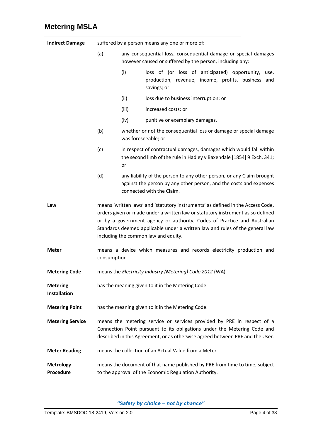| <b>Indirect Damage</b>                 | suffered by a person means any one or more of:                                                                                                                                                                                                                                                                                                                        |                     |                                                                                                                                                                          |  |
|----------------------------------------|-----------------------------------------------------------------------------------------------------------------------------------------------------------------------------------------------------------------------------------------------------------------------------------------------------------------------------------------------------------------------|---------------------|--------------------------------------------------------------------------------------------------------------------------------------------------------------------------|--|
|                                        | (a)<br>any consequential loss, consequential damage or special damages<br>however caused or suffered by the person, including any:                                                                                                                                                                                                                                    |                     |                                                                                                                                                                          |  |
| (i)<br>savings; or                     |                                                                                                                                                                                                                                                                                                                                                                       |                     | loss of (or loss of anticipated) opportunity,<br>use,<br>production, revenue, income, profits, business and                                                              |  |
|                                        |                                                                                                                                                                                                                                                                                                                                                                       | (ii)                | loss due to business interruption; or                                                                                                                                    |  |
|                                        |                                                                                                                                                                                                                                                                                                                                                                       | (iii)               | increased costs; or                                                                                                                                                      |  |
|                                        |                                                                                                                                                                                                                                                                                                                                                                       | (iv)                | punitive or exemplary damages,                                                                                                                                           |  |
|                                        | (b)                                                                                                                                                                                                                                                                                                                                                                   | was foreseeable; or | whether or not the consequential loss or damage or special damage                                                                                                        |  |
|                                        | (c)                                                                                                                                                                                                                                                                                                                                                                   | or                  | in respect of contractual damages, damages which would fall within<br>the second limb of the rule in Hadley v Baxendale [1854] 9 Exch. 341;                              |  |
|                                        | (d)                                                                                                                                                                                                                                                                                                                                                                   |                     | any liability of the person to any other person, or any Claim brought<br>against the person by any other person, and the costs and expenses<br>connected with the Claim. |  |
| Law                                    | means 'written laws' and 'statutory instruments' as defined in the Access Code,<br>orders given or made under a written law or statutory instrument as so defined<br>or by a government agency or authority, Codes of Practice and Australian<br>Standards deemed applicable under a written law and rules of the general law<br>including the common law and equity. |                     |                                                                                                                                                                          |  |
| <b>Meter</b>                           | means a device which measures and records electricity production and<br>consumption.                                                                                                                                                                                                                                                                                  |                     |                                                                                                                                                                          |  |
| <b>Metering Code</b>                   | means the Electricity Industry (Metering) Code 2012 (WA).                                                                                                                                                                                                                                                                                                             |                     |                                                                                                                                                                          |  |
| <b>Metering</b><br><b>Installation</b> | has the meaning given to it in the Metering Code.                                                                                                                                                                                                                                                                                                                     |                     |                                                                                                                                                                          |  |
| <b>Metering Point</b>                  | has the meaning given to it in the Metering Code.                                                                                                                                                                                                                                                                                                                     |                     |                                                                                                                                                                          |  |
| <b>Metering Service</b>                | means the metering service or services provided by PRE in respect of a<br>Connection Point pursuant to its obligations under the Metering Code and<br>described in this Agreement, or as otherwise agreed between PRE and the User.                                                                                                                                   |                     |                                                                                                                                                                          |  |
| <b>Meter Reading</b>                   |                                                                                                                                                                                                                                                                                                                                                                       |                     | means the collection of an Actual Value from a Meter.                                                                                                                    |  |
| <b>Metrology</b><br>Procedure          | means the document of that name published by PRE from time to time, subject<br>to the approval of the Economic Regulation Authority.                                                                                                                                                                                                                                  |                     |                                                                                                                                                                          |  |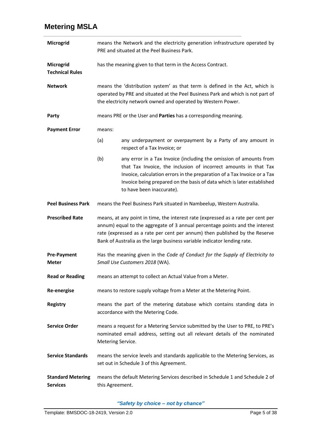| Microgrid                                   | means the Network and the electricity generation infrastructure operated by<br>PRE and situated at the Peel Business Park.                                                                                                                                                                                                  |                                                                                                                                                                                                                                                                                                                           |  |
|---------------------------------------------|-----------------------------------------------------------------------------------------------------------------------------------------------------------------------------------------------------------------------------------------------------------------------------------------------------------------------------|---------------------------------------------------------------------------------------------------------------------------------------------------------------------------------------------------------------------------------------------------------------------------------------------------------------------------|--|
| Microgrid<br><b>Technical Rules</b>         | has the meaning given to that term in the Access Contract.                                                                                                                                                                                                                                                                  |                                                                                                                                                                                                                                                                                                                           |  |
| <b>Network</b>                              | means the 'distribution system' as that term is defined in the Act, which is<br>operated by PRE and situated at the Peel Business Park and which is not part of<br>the electricity network owned and operated by Western Power.                                                                                             |                                                                                                                                                                                                                                                                                                                           |  |
| Party                                       |                                                                                                                                                                                                                                                                                                                             | means PRE or the User and Parties has a corresponding meaning.                                                                                                                                                                                                                                                            |  |
| <b>Payment Error</b>                        | means:                                                                                                                                                                                                                                                                                                                      |                                                                                                                                                                                                                                                                                                                           |  |
|                                             | (a)                                                                                                                                                                                                                                                                                                                         | any underpayment or overpayment by a Party of any amount in<br>respect of a Tax Invoice; or                                                                                                                                                                                                                               |  |
|                                             | (b)                                                                                                                                                                                                                                                                                                                         | any error in a Tax Invoice (including the omission of amounts from<br>that Tax Invoice, the inclusion of incorrect amounts in that Tax<br>Invoice, calculation errors in the preparation of a Tax Invoice or a Tax<br>Invoice being prepared on the basis of data which is later established<br>to have been inaccurate). |  |
| <b>Peel Business Park</b>                   |                                                                                                                                                                                                                                                                                                                             | means the Peel Business Park situated in Nambeelup, Western Australia.                                                                                                                                                                                                                                                    |  |
| <b>Prescribed Rate</b>                      | means, at any point in time, the interest rate (expressed as a rate per cent per<br>annum) equal to the aggregate of 3 annual percentage points and the interest<br>rate (expressed as a rate per cent per annum) then published by the Reserve<br>Bank of Australia as the large business variable indicator lending rate. |                                                                                                                                                                                                                                                                                                                           |  |
| <b>Pre-Payment</b><br><b>Meter</b>          | Has the meaning given in the Code of Conduct for the Supply of Electricity to<br>Small Use Customers 2018 (WA).                                                                                                                                                                                                             |                                                                                                                                                                                                                                                                                                                           |  |
| <b>Read or Reading</b>                      | means an attempt to collect an Actual Value from a Meter.                                                                                                                                                                                                                                                                   |                                                                                                                                                                                                                                                                                                                           |  |
| <b>Re-energise</b>                          | means to restore supply voltage from a Meter at the Metering Point.                                                                                                                                                                                                                                                         |                                                                                                                                                                                                                                                                                                                           |  |
| <b>Registry</b>                             | means the part of the metering database which contains standing data in<br>accordance with the Metering Code.                                                                                                                                                                                                               |                                                                                                                                                                                                                                                                                                                           |  |
| <b>Service Order</b>                        | means a request for a Metering Service submitted by the User to PRE, to PRE's<br>nominated email address, setting out all relevant details of the nominated<br>Metering Service.                                                                                                                                            |                                                                                                                                                                                                                                                                                                                           |  |
| <b>Service Standards</b>                    |                                                                                                                                                                                                                                                                                                                             | means the service levels and standards applicable to the Metering Services, as<br>set out in Schedule 3 of this Agreement.                                                                                                                                                                                                |  |
| <b>Standard Metering</b><br><b>Services</b> | means the default Metering Services described in Schedule 1 and Schedule 2 of<br>this Agreement.                                                                                                                                                                                                                            |                                                                                                                                                                                                                                                                                                                           |  |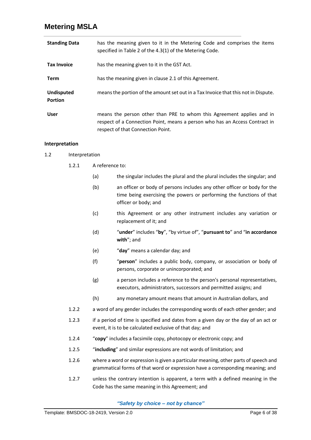| <b>Standing Data</b>                | has the meaning given to it in the Metering Code and comprises the items<br>specified in Table 2 of the 4.3(1) of the Metering Code.                                                      |
|-------------------------------------|-------------------------------------------------------------------------------------------------------------------------------------------------------------------------------------------|
| <b>Tax Invoice</b>                  | has the meaning given to it in the GST Act.                                                                                                                                               |
| Term                                | has the meaning given in clause 2.1 of this Agreement.                                                                                                                                    |
| <b>Undisputed</b><br><b>Portion</b> | means the portion of the amount set out in a Tax Invoice that this not in Dispute.                                                                                                        |
| <b>User</b>                         | means the person other than PRE to whom this Agreement applies and in<br>respect of a Connection Point, means a person who has an Access Contract in<br>respect of that Connection Point. |

### **Interpretation**

- 1.2 Interpretation
	- 1.2.1 A reference to:
		- (a) the singular includes the plural and the plural includes the singular; and
		- (b) an officer or body of persons includes any other officer or body for the time being exercising the powers or performing the functions of that officer or body; and
		- (c) this Agreement or any other instrument includes any variation or replacement of it; and
		- (d) "**under**" includes "**by**", "by virtue of", "**pursuant to**" and "**in accordance with**"; and
		- (e) "**day**" means a calendar day; and
		- (f) "**person**" includes a public body, company, or association or body of persons, corporate or unincorporated; and
		- (g) a person includes a reference to the person's personal representatives, executors, administrators, successors and permitted assigns; and
		- (h) any monetary amount means that amount in Australian dollars, and
	- 1.2.2 a word of any gender includes the corresponding words of each other gender; and
	- 1.2.3 if a period of time is specified and dates from a given day or the day of an act or event, it is to be calculated exclusive of that day; and
	- 1.2.4 "**copy**" includes a facsimile copy, photocopy or electronic copy; and
	- 1.2.5 "**including**" and similar expressions are not words of limitation; and
	- 1.2.6 where a word or expression is given a particular meaning, other parts of speech and grammatical forms of that word or expression have a corresponding meaning; and
	- 1.2.7 unless the contrary intention is apparent, a term with a defined meaning in the Code has the same meaning in this Agreement; and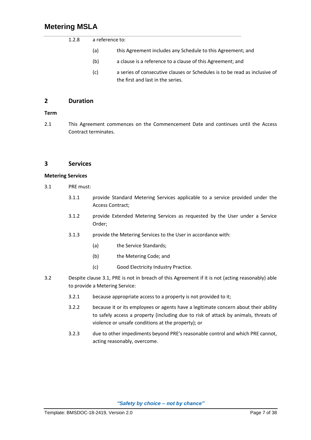| 1.2.8 | a reference to: |                                                                                                                 |  |  |  |
|-------|-----------------|-----------------------------------------------------------------------------------------------------------------|--|--|--|
|       | (a)             | this Agreement includes any Schedule to this Agreement; and                                                     |  |  |  |
|       | (b)             | a clause is a reference to a clause of this Agreement; and                                                      |  |  |  |
|       | (c)             | a series of consecutive clauses or Schedules is to be read as inclusive of<br>the first and last in the series. |  |  |  |

### **2 Duration**

### **Term**

<span id="page-9-0"></span>2.1 This Agreement commences on the Commencement Date and continues until the Access Contract terminates.

### **3 Services**

### **Metering Services**

- <span id="page-9-1"></span>3.1 PRE must:
	- 3.1.1 provide Standard Metering Services applicable to a service provided under the Access Contract;
	- 3.1.2 provide Extended Metering Services as requested by the User under a Service Order;
	- 3.1.3 provide the Metering Services to the User in accordance with:
		- (a) the Service Standards;
		- (b) the Metering Code; and
		- (c) Good Electricity Industry Practice.
- 3.2 Despite clause [3.1,](#page-9-1) PRE is not in breach of this Agreement if it is not (acting reasonably) able to provide a Metering Service:
	- 3.2.1 because appropriate access to a property is not provided to it;
	- 3.2.2 because it or its employees or agents have a legitimate concern about their ability to safely access a property (including due to risk of attack by animals, threats of violence or unsafe conditions at the property); or
	- 3.2.3 due to other impediments beyond PRE's reasonable control and which PRE cannot, acting reasonably, overcome.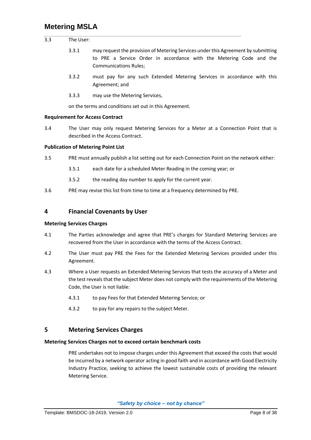| 3.3 | The User: |                                                                                                                                                                                          |
|-----|-----------|------------------------------------------------------------------------------------------------------------------------------------------------------------------------------------------|
|     | 3.3.1     | may request the provision of Metering Services under this Agreement by submitting<br>to PRE a Service Order in accordance with the Metering Code and the<br><b>Communications Rules:</b> |
|     | 3.3.2     | must pay for any such Extended Metering Services in accordance with this<br>Agreement; and                                                                                               |
|     | 3.3.3     | may use the Metering Services,                                                                                                                                                           |

### **Requirement for Access Contract**

3.4 The User may only request Metering Services for a Meter at a Connection Point that is described in the Access Contract.

### **Publication of Metering Point List**

- 3.5 PRE must annually publish a list setting out for each Connection Point on the network either:
	- 3.5.1 each date for a scheduled Meter Reading in the coming year; or
	- 3.5.2 the reading day number to apply for the current year.

on the terms and conditions set out in this Agreement.

3.6 PRE may revise this list from time to time at a frequency determined by PRE.

### **4 Financial Covenants by User**

#### **Metering Services Charges**

- 4.1 The Parties acknowledge and agree that PRE's charges for Standard Metering Services are recovered from the User in accordance with the terms of the Access Contract.
- 4.2 The User must pay PRE the Fees for the Extended Metering Services provided under this Agreement.
- 4.3 Where a User requests an Extended Metering Services that tests the accuracy of a Meter and the test reveals that the subject Meter does not comply with the requirements of the Metering Code, the User is not liable:
	- 4.3.1 to pay Fees for that Extended Metering Service; or
	- 4.3.2 to pay for any repairs to the subject Meter.

### **5 Metering Services Charges**

#### **Metering Services Charges not to exceed certain benchmark costs**

PRE undertakes not to impose charges under this Agreement that exceed the costs that would be incurred by a network operator acting in good faith and in accordance with Good Electricity Industry Practice, seeking to achieve the lowest sustainable costs of providing the relevant Metering Service.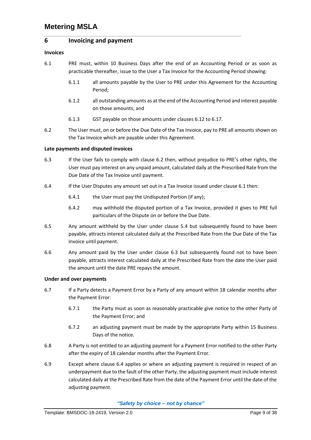### **6 Invoicing and payment**

### **Invoices**

- <span id="page-11-1"></span>6.1 PRE must, within 10 Business Days after the end of an Accounting Period or as soon as practicable thereafter, issue to the User a Tax Invoice for the Accounting Period showing:
	- 6.1.1 all amounts payable by the User to PRE under this Agreement for the Accounting Period;
	- 6.1.2 all outstanding amounts as at the end of the Accounting Period and interest payable on those amounts; and
	- 6.1.3 GST payable on those amounts under clauses [6.12](#page-12-0) t[o 6.17.](#page-12-1)
- <span id="page-11-0"></span>6.2 The User must, on or before the Due Date of the Tax Invoice, pay to PRE all amounts shown on the Tax Invoice which are payable under this Agreement.

### **Late payments and disputed invoices**

- <span id="page-11-2"></span>6.3 If the User fails to comply with clause [6.2](#page-11-0) then, without prejudice to PRE's other rights, the User must pay interest on any unpaid amount, calculated daily at the Prescribed Rate from the Due Date of the Tax Invoice until payment.
- <span id="page-11-3"></span>6.4 If the User Disputes any amount set out in a Tax Invoice issued under clause [6.1](#page-11-1) then:
	- 6.4.1 the User must pay the Undisputed Portion (if any);
	- 6.4.2 may withhold the disputed portion of a Tax Invoice, provided it gives to PRE full particulars of the Dispute on or before the Due Date.
- 6.5 Any amount withheld by the User under clause 5.4 but subsequently found to have been payable, attracts interest calculated daily at the Prescribed Rate from the Due Date of the Tax Invoice until payment.
- 6.6 Any amount paid by the User under clause [6.3](#page-11-2) but subsequently found not to have been payable, attracts interest calculated daily at the Prescribed Rate from the date the User paid the amount until the date PRE repays the amount.

### **Under and over payments**

- 6.7 If a Party detects a Payment Error by a Party of any amount within 18 calendar months after the Payment Error:
	- 6.7.1 the Party must as soon as reasonably practicable give notice to the other Party of the Payment Error; and
	- 6.7.2 an adjusting payment must be made by the appropriate Party within 15 Business Days of the notice.
- 6.8 A Party is not entitled to an adjusting payment for a Payment Error notified to the other Party after the expiry of 18 calendar months after the Payment Error.
- 6.9 Except where clause [6.4](#page-11-3) applies or where an adjusting payment is required in respect of an underpayment due to the fault of the other Party, the adjusting payment must include interest calculated daily at the Prescribed Rate from the date of the Payment Error until the date of the adjusting payment.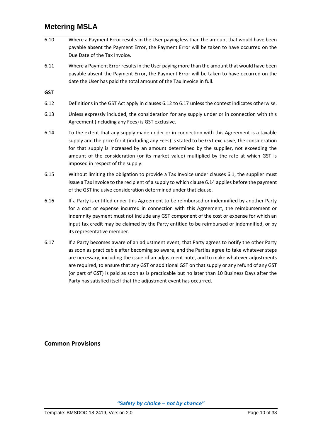- 6.10 Where a Payment Error results in the User paying less than the amount that would have been payable absent the Payment Error, the Payment Error will be taken to have occurred on the Due Date of the Tax Invoice.
- 6.11 Where a Payment Error results in the User paying more than the amount that would have been payable absent the Payment Error, the Payment Error will be taken to have occurred on the date the User has paid the total amount of the Tax Invoice in full.

**GST**

- <span id="page-12-0"></span>6.12 Definitions in the GST Act apply in clauses [6.12](#page-12-0) t[o 6.17](#page-12-1) unless the context indicates otherwise.
- 6.13 Unless expressly included, the consideration for any supply under or in connection with this Agreement (including any Fees) is GST exclusive.
- <span id="page-12-2"></span>6.14 To the extent that any supply made under or in connection with this Agreement is a taxable supply and the price for it (including any Fees) is stated to be GST exclusive, the consideration for that supply is increased by an amount determined by the supplier, not exceeding the amount of the consideration (or its market value) multiplied by the rate at which GST is imposed in respect of the supply.
- 6.15 Without limiting the obligation to provide a Tax Invoice under clauses [6.1,](#page-11-1) the supplier must issue a Tax Invoice to the recipient of a supply to which clause [6.14](#page-12-2) applies before the payment of the GST inclusive consideration determined under that clause.
- 6.16 If a Party is entitled under this Agreement to be reimbursed or indemnified by another Party for a cost or expense incurred in connection with this Agreement, the reimbursement or indemnity payment must not include any GST component of the cost or expense for which an input tax credit may be claimed by the Party entitled to be reimbursed or indemnified, or by its representative member.
- <span id="page-12-1"></span>6.17 If a Party becomes aware of an adjustment event, that Party agrees to notify the other Party as soon as practicable after becoming so aware, and the Parties agree to take whatever steps are necessary, including the issue of an adjustment note, and to make whatever adjustments are required, to ensure that any GST or additional GST on that supply or any refund of any GST (or part of GST) is paid as soon as is practicable but no later than 10 Business Days after the Party has satisfied itself that the adjustment event has occurred.

**Common Provisions**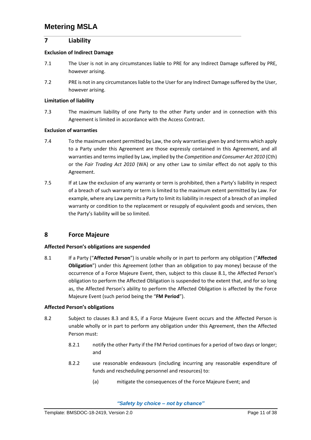### **7 Liability**

### **Exclusion of Indirect Damage**

- 7.1 The User is not in any circumstances liable to PRE for any Indirect Damage suffered by PRE, however arising.
- 7.2 PRE is not in any circumstances liable to the User for any Indirect Damage suffered by the User, however arising.

### **Limitation of liability**

7.3 The maximum liability of one Party to the other Party under and in connection with this Agreement is limited in accordance with the Access Contract.

### **Exclusion of warranties**

- 7.4 To the maximum extent permitted by Law, the only warranties given by and terms which apply to a Party under this Agreement are those expressly contained in this Agreement, and all warranties and terms implied by Law, implied by the *Competition and Consumer Act 2010* (Cth) or the *Fair Trading Act 2010* (WA) or any other Law to similar effect do not apply to this Agreement.
- 7.5 If at Law the exclusion of any warranty or term is prohibited, then a Party's liability in respect of a breach of such warranty or term is limited to the maximum extent permitted by Law. For example, where any Law permits a Party to limit its liability in respect of a breach of an implied warranty or condition to the replacement or resupply of equivalent goods and services, then the Party's liability will be so limited.

### **8 Force Majeure**

### **Affected Person's obligations are suspended**

<span id="page-13-0"></span>8.1 If a Party ("**Affected Person**") is unable wholly or in part to perform any obligation ("**Affected Obligation**") under this Agreement (other than an obligation to pay money) because of the occurrence of a Force Majeure Event, then, subject to this clause [8.1](#page-13-0), the Affected Person's obligation to perform the Affected Obligation is suspended to the extent that, and for so long as, the Affected Person's ability to perform the Affected Obligation is affected by the Force Majeure Event (such period being the "**FM Period**").

### **Affected Person's obligations**

- <span id="page-13-1"></span>8.2 Subject to clauses [8.3](#page-14-1) and [8.5,](#page-14-2) if a Force Majeure Event occurs and the Affected Person is unable wholly or in part to perform any obligation under this Agreement, then the Affected Person must:
	- 8.2.1 notify the other Party if the FM Period continues for a period of two days or longer; and
	- 8.2.2 use reasonable endeavours (including incurring any reasonable expenditure of funds and rescheduling personnel and resources) to:
		- (a) mitigate the consequences of the Force Majeure Event; and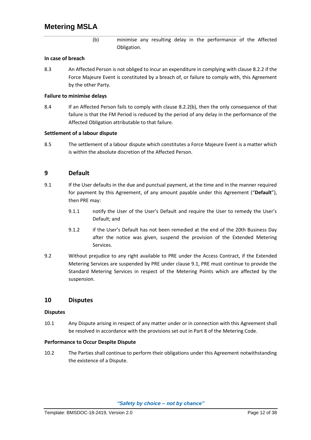(b) minimise any resulting delay in the performance of the Affected Obligation.

### <span id="page-14-3"></span>**In case of breach**

<span id="page-14-1"></span>8.3 An Affected Person is not obliged to incur an expenditure in complying with claus[e 8.2.2](#page-13-1) if the Force Majeure Event is constituted by a breach of, or failure to comply with, this Agreement by the other Party.

### **Failure to minimise delays**

8.4 If an Affected Person fails to comply with clause [8.2.2\(b\),](#page-14-3) then the only consequence of that failure is that the FM Period is reduced by the period of any delay in the performance of the Affected Obligation attributable to that failure.

### **Settlement of a labour dispute**

<span id="page-14-2"></span>8.5 The settlement of a labour dispute which constitutes a Force Majeure Event is a matter which is within the absolute discretion of the Affected Person.

### **9 Default**

- <span id="page-14-0"></span>9.1 If the User defaults in the due and punctual payment, at the time and in the manner required for payment by this Agreement, of any amount payable under this Agreement ("**Default**"), then PRE may:
	- 9.1.1 notify the User of the User's Default and require the User to remedy the User's Default; and
	- 9.1.2 if the User's Default has not been remedied at the end of the 20th Business Day after the notice was given, suspend the provision of the Extended Metering Services.
- 9.2 Without prejudice to any right available to PRE under the Access Contract, if the Extended Metering Services are suspended by PRE under clause [9.1,](#page-14-0) PRE must continue to provide the Standard Metering Services in respect of the Metering Points which are affected by the suspension.

### **10 Disputes**

#### **Disputes**

10.1 Any Dispute arising in respect of any matter under or in connection with this Agreement shall be resolved in accordance with the provisions set out in Part 8 of the Metering Code.

#### **Performance to Occur Despite Dispute**

10.2 The Parties shall continue to perform their obligations under this Agreement notwithstanding the existence of a Dispute.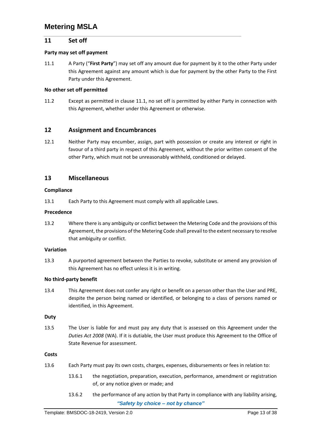### **11 Set off**

### **Party may set off payment**

<span id="page-15-0"></span>11.1 A Party ("**First Party**") may set off any amount due for payment by it to the other Party under this Agreement against any amount which is due for payment by the other Party to the First Party under this Agreement.

### **No other set off permitted**

11.2 Except as permitted in clause [11.1,](#page-15-0) no set off is permitted by either Party in connection with this Agreement, whether under this Agreement or otherwise.

### **12 Assignment and Encumbrances**

12.1 Neither Party may encumber, assign, part with possession or create any interest or right in favour of a third party in respect of this Agreement, without the prior written consent of the other Party, which must not be unreasonably withheld, conditioned or delayed.

### **13 Miscellaneous**

### **Compliance**

13.1 Each Party to this Agreement must comply with all applicable Laws.

### **Precedence**

13.2 Where there is any ambiguity or conflict between the Metering Code and the provisions of this Agreement, the provisions of the Metering Code shall prevail to the extent necessary to resolve that ambiguity or conflict.

### **Variation**

13.3 A purported agreement between the Parties to revoke, substitute or amend any provision of this Agreement has no effect unless it is in writing.

#### **No third‐party benefit**

13.4 This Agreement does not confer any right or benefit on a person other than the User and PRE, despite the person being named or identified, or belonging to a class of persons named or identified, in this Agreement.

#### **Duty**

13.5 The User is liable for and must pay any duty that is assessed on this Agreement under the *Duties Act 2008* (WA). If it is dutiable, the User must produce this Agreement to the Office of State Revenue for assessment.

#### **Costs**

- 13.6 Each Party must pay its own costs, charges, expenses, disbursements or fees in relation to:
	- 13.6.1 the negotiation, preparation, execution, performance, amendment or registration of, or any notice given or made; and
	- *"Safety by choice – not by chance"* 13.6.2 the performance of any action by that Party in compliance with any liability arising,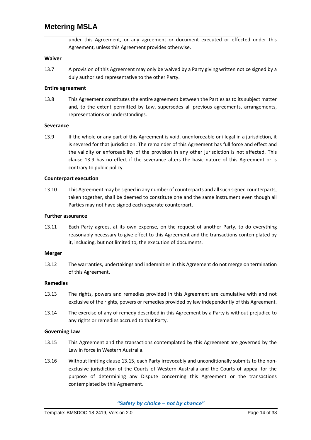under this Agreement, or any agreement or document executed or effected under this Agreement, unless this Agreement provides otherwise.

### **Waiver**

13.7 A provision of this Agreement may only be waived by a Party giving written notice signed by a duly authorised representative to the other Party.

### **Entire agreement**

13.8 This Agreement constitutes the entire agreement between the Parties as to its subject matter and, to the extent permitted by Law, supersedes all previous agreements, arrangements, representations or understandings.

#### **Severance**

<span id="page-16-0"></span>13.9 If the whole or any part of this Agreement is void, unenforceable or illegal in a jurisdiction, it is severed for that jurisdiction. The remainder of this Agreement has full force and effect and the validity or enforceability of the provision in any other jurisdiction is not affected. This clause [13.9](#page-16-0) has no effect if the severance alters the basic nature of this Agreement or is contrary to public policy.

#### **Counterpart execution**

13.10 This Agreement may be signed in any number of counterparts and all such signed counterparts, taken together, shall be deemed to constitute one and the same instrument even though all Parties may not have signed each separate counterpart.

#### **Further assurance**

13.11 Each Party agrees, at its own expense, on the request of another Party, to do everything reasonably necessary to give effect to this Agreement and the transactions contemplated by it, including, but not limited to, the execution of documents.

#### **Merger**

13.12 The warranties, undertakings and indemnities in this Agreement do not merge on termination of this Agreement.

#### **Remedies**

- 13.13 The rights, powers and remedies provided in this Agreement are cumulative with and not exclusive of the rights, powers or remedies provided by law independently of this Agreement.
- 13.14 The exercise of any of remedy described in this Agreement by a Party is without prejudice to any rights or remedies accrued to that Party.

#### **Governing Law**

- <span id="page-16-1"></span>13.15 This Agreement and the transactions contemplated by this Agreement are governed by the Law in force in Western Australia.
- 13.16 Without limiting claus[e 13.15](#page-16-1), each Party irrevocably and unconditionally submits to the nonexclusive jurisdiction of the Courts of Western Australia and the Courts of appeal for the purpose of determining any Dispute concerning this Agreement or the transactions contemplated by this Agreement.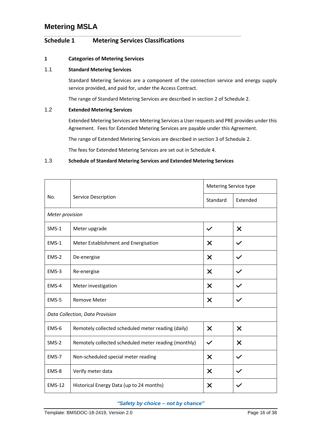### <span id="page-18-0"></span>**Schedule 1 Metering Services Classifications**

### **1 Categories of Metering Services**

### 1.1 **Standard Metering Services**

Standard Metering Services are a component of the connection service and energy supply service provided, and paid for, under the Access Contract.

The range of Standard Metering Services are described in section 2 o[f Schedule 2.](#page-20-0)

### 1.2 **Extended Metering Services**

Extended Metering Services are Metering Services a User requests and PRE provides under this Agreement. Fees for Extended Metering Services are payable under this Agreement.

The range of Extended Metering Services are described in section 3 o[f Schedule 2.](#page-20-0)

The fees for Extended Metering Services are set out i[n Schedule 4.](#page-36-0)

### 1.3 **Schedule of Standard Metering Services and Extended Metering Services**

|                                 |                                                      | Metering Service type     |                           |  |  |
|---------------------------------|------------------------------------------------------|---------------------------|---------------------------|--|--|
| No.                             | Service Description                                  | Standard                  | Extended                  |  |  |
|                                 | Meter provision                                      |                           |                           |  |  |
| $SMS-1$                         | Meter upgrade                                        | $\checkmark$              | $\boldsymbol{\mathsf{X}}$ |  |  |
| EMS-1                           | Meter Establishment and Energisation                 | $\times$                  | $\checkmark$              |  |  |
| EMS-2                           | De-energise                                          | X                         |                           |  |  |
| EMS-3                           | Re-energise                                          | $\boldsymbol{\mathsf{x}}$ | $\checkmark$              |  |  |
| EMS-4                           | Meter investigation                                  | X                         |                           |  |  |
| EMS-5                           | <b>Remove Meter</b>                                  |                           | $\checkmark$              |  |  |
| Data Collection, Data Provision |                                                      |                           |                           |  |  |
| EMS-6                           | Remotely collected scheduled meter reading (daily)   | $\times$                  | $\times$                  |  |  |
| $SMS-2$                         | Remotely collected scheduled meter reading (monthly) | $\checkmark$              | $\times$                  |  |  |
| EMS-7                           | Non-scheduled special meter reading                  | $\times$                  | $\checkmark$              |  |  |
| EMS-8                           | Verify meter data                                    | $\times$                  |                           |  |  |
| <b>EMS-12</b>                   | Historical Energy Data (up to 24 months)             | X                         |                           |  |  |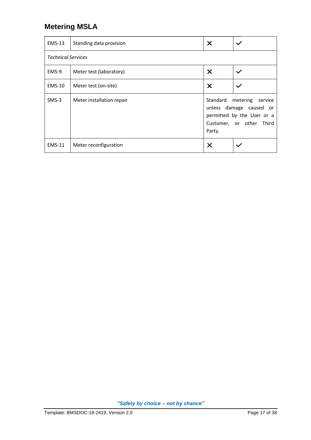| <b>EMS-13</b> | Standing data provision   | $\times$                                                                                                                       |              |  |  |  |
|---------------|---------------------------|--------------------------------------------------------------------------------------------------------------------------------|--------------|--|--|--|
|               | <b>Technical Services</b> |                                                                                                                                |              |  |  |  |
| EMS-9         | Meter test (laboratory)   | $\times$                                                                                                                       | $\checkmark$ |  |  |  |
| $EMS-10$      | Meter test (on-site)      | $\times$                                                                                                                       | $\checkmark$ |  |  |  |
| $SMS-3$       | Meter installation repair | Standard<br>metering<br>service<br>unless damage caused or<br>permitted by the User or a<br>Customer, or other Third<br>Party. |              |  |  |  |
| $EMS-11$      | Meter reconfiguration     | X                                                                                                                              |              |  |  |  |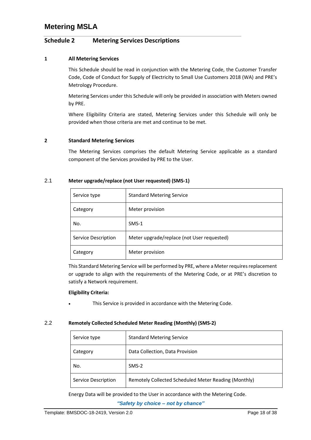### <span id="page-20-0"></span>**Schedule 2 Metering Services Descriptions**

### **1 All Metering Services**

This Schedule should be read in conjunction with the Metering Code, the Customer Transfer Code, Code of Conduct for Supply of Electricity to Small Use Customers 2018 (WA) and PRE's Metrology Procedure.

Metering Services under this Schedule will only be provided in association with Meters owned by PRE.

Where Eligibility Criteria are stated, Metering Services under this Schedule will only be provided when those criteria are met and continue to be met.

### **2 Standard Metering Services**

The Metering Services comprises the default Metering Service applicable as a standard component of the Services provided by PRE to the User.

### 2.1 **Meter upgrade/replace (not User requested) (SMS‐1)**

| Service type        | <b>Standard Metering Service</b>           |
|---------------------|--------------------------------------------|
| Category            | Meter provision                            |
| No.                 | $SMS-1$                                    |
| Service Description | Meter upgrade/replace (not User requested) |
| Category            | Meter provision                            |

This Standard Metering Service will be performed by PRE, where a Meter requires replacement or upgrade to align with the requirements of the Metering Code, or at PRE's discretion to satisfy a Network requirement.

#### **Eligibility Criteria:**

This Service is provided in accordance with the Metering Code.

### 2.2 **Remotely Collected Scheduled Meter Reading (Monthly) (SMS‐2)**

| Service type        | <b>Standard Metering Service</b>                     |
|---------------------|------------------------------------------------------|
| Category            | Data Collection, Data Provision                      |
| No.                 | $SMS-2$                                              |
| Service Description | Remotely Collected Scheduled Meter Reading (Monthly) |

Energy Data will be provided to the User in accordance with the Metering Code.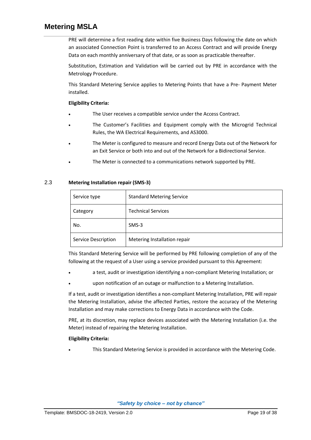PRE will determine a first reading date within five Business Days following the date on which an associated Connection Point is transferred to an Access Contract and will provide Energy Data on each monthly anniversary of that date, or as soon as practicable thereafter.

Substitution, Estimation and Validation will be carried out by PRE in accordance with the Metrology Procedure.

This Standard Metering Service applies to Metering Points that have a Pre‐ Payment Meter installed.

### **Eligibility Criteria:**

- The User receives a compatible service under the Access Contract.
- The Customer's Facilities and Equipment comply with the Microgrid Technical Rules, the WA Electrical Requirements, and AS3000.
- The Meter is configured to measure and record Energy Data out of the Network for an Exit Service or both into and out of the Network for a Bidirectional Service.
- The Meter is connected to a communications network supported by PRE.

### 2.3 **Metering Installation repair (SMS‐3)**

| Service type        | <b>Standard Metering Service</b> |
|---------------------|----------------------------------|
| Category            | <b>Technical Services</b>        |
| No.                 | $SMS-3$                          |
| Service Description | Metering Installation repair     |

This Standard Metering Service will be performed by PRE following completion of any of the following at the request of a User using a service provided pursuant to this Agreement:

- a test, audit or investigation identifying a non‐compliant Metering Installation; or
- upon notification of an outage or malfunction to a Metering Installation.

If a test, audit or investigation identifies a non-compliant Metering Installation, PRE will repair the Metering Installation, advise the affected Parties, restore the accuracy of the Metering Installation and may make corrections to Energy Data in accordance with the Code.

PRE, at its discretion, may replace devices associated with the Metering Installation (i.e. the Meter) instead of repairing the Metering Installation.

### **Eligibility Criteria:**

• This Standard Metering Service is provided in accordance with the Metering Code.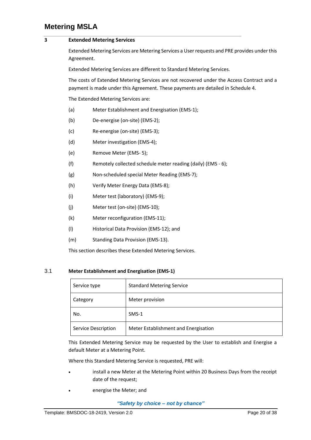### **3 Extended Metering Services**

Extended Metering Services are Metering Services a User requests and PRE provides under this Agreement.

Extended Metering Services are different to Standard Metering Services.

The costs of Extended Metering Services are not recovered under the Access Contract and a payment is made under this Agreement. These payments are detailed i[n Schedule 4.](#page-36-0)

The Extended Metering Services are:

- (a) Meter Establishment and Energisation (EMS-1);
- (b) De‐energise (on-site) (EMS‐2);
- (c) Re‐energise (on-site) (EMS‐3);
- (d) Meter investigation (EMS‐4);
- (e) Remove Meter (EMS- 5);
- (f) Remotely collected schedule meter reading (daily) (EMS 6);
- (g) Non‐scheduled special Meter Reading (EMS‐7);
- (h) Verify Meter Energy Data (EMS‐8);
- (i) Meter test (laboratory) (EMS‐9);
- (j) Meter test (on‐site) (EMS‐10);
- (k) Meter reconfiguration (EMS-11);
- (l) Historical Data Provision (EMS-12); and
- (m) Standing Data Provision (EMS-13).

This section describes these Extended Metering Services.

### 3.1 **Meter Establishment and Energisation (EMS‐1)**

| Service type        | <b>Standard Metering Service</b>     |
|---------------------|--------------------------------------|
| Category            | Meter provision                      |
| No.                 | $SMS-1$                              |
| Service Description | Meter Establishment and Energisation |

This Extended Metering Service may be requested by the User to establish and Energise a default Meter at a Metering Point.

Where this Standard Metering Service is requested, PRE will:

- install a new Meter at the Metering Point within 20 Business Days from the receipt date of the request;
- energise the Meter; and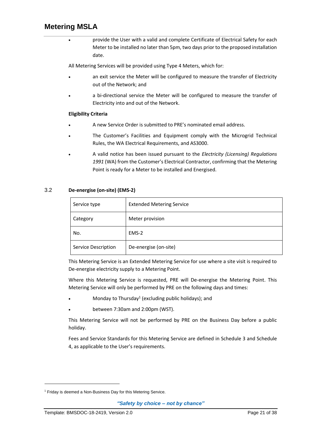• provide the User with a valid and complete Certificate of Electrical Safety for each Meter to be installed no later than 5pm, two days prior to the proposed installation date.

All Metering Services will be provided using Type 4 Meters, which for:

- an exit service the Meter will be configured to measure the transfer of Electricity out of the Network; and
- a bi-directional service the Meter will be configured to measure the transfer of Electricity into and out of the Network.

### **Eligibility Criteria**

- A new Service Order is submitted to PRE's nominated email address.
- The Customer's Facilities and Equipment comply with the Microgrid Technical Rules, the WA Electrical Requirements, and AS3000.
- A valid notice has been issued pursuant to the *Electricity (Licensing) Regulations 1991* (WA) from the Customer's Electrical Contractor, confirming that the Metering Point is ready for a Meter to be installed and Energised.

### 3.2 **De‐energise (on-site) (EMS‐2)**

| Service type        | <b>Extended Metering Service</b> |
|---------------------|----------------------------------|
| Category            | Meter provision                  |
| No.                 | EMS-2                            |
| Service Description | De-energise (on-site)            |

This Metering Service is an Extended Metering Service for use where a site visit is required to De-energise electricity supply to a Metering Point.

Where this Metering Service is requested, PRE will De-energise the Metering Point. This Metering Service will only be performed by PRE on the following days and times:

- Monday to Thursday<sup>1</sup> (excluding public holidays); and
- between 7:30am and 2:00pm (WST).

This Metering Service will not be performed by PRE on the Business Day before a public holiday.

Fees and Service Standards for this Metering Service are defined in [Schedule 3](#page-31-0) an[d Schedule](#page-36-0)  [4](#page-36-0), as applicable to the User's requirements.

<sup>&</sup>lt;sup>1</sup> Friday is deemed a Non-Business Day for this Metering Service.

*<sup>&</sup>quot;Safety by choice – not by chance"*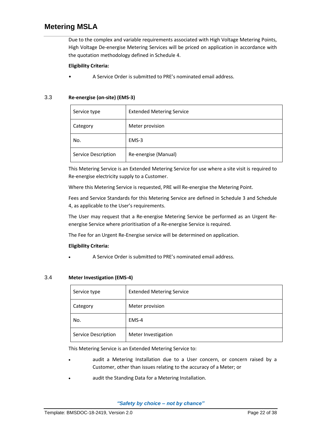Due to the complex and variable requirements associated with High Voltage Metering Points, High Voltage De‐energise Metering Services will be priced on application in accordance with the quotation methodology defined in [Schedule 4.](#page-36-0)

### **Eligibility Criteria:**

• A Service Order is submitted to PRE's nominated email address.

### 3.3 **Re‐energise (on-site) (EMS‐3)**

| Service type        | <b>Extended Metering Service</b> |
|---------------------|----------------------------------|
| Category            | Meter provision                  |
| No.                 | EMS-3                            |
| Service Description | Re-energise (Manual)             |

This Metering Service is an Extended Metering Service for use where a site visit is required to Re‐energise electricity supply to a Customer.

Where this Metering Service is requested, PRE will Re-energise the Metering Point.

Fees and Service Standards for this Metering Service are defined in [Schedule 3](#page-31-0) an[d Schedule](#page-36-0)  [4](#page-36-0), as applicable to the User's requirements.

The User may request that a Re-energise Metering Service be performed as an Urgent Reenergise Service where prioritisation of a Re-energise Service is required.

The Fee for an Urgent Re-Energise service will be determined on application.

### **Eligibility Criteria:**

• A Service Order is submitted to PRE's nominated email address.

### 3.4 **Meter Investigation (EMS‐4)**

| Service type        | <b>Extended Metering Service</b> |
|---------------------|----------------------------------|
| Category            | Meter provision                  |
| No.                 | EMS-4                            |
| Service Description | Meter Investigation              |

This Metering Service is an Extended Metering Service to:

- audit a Metering Installation due to a User concern, or concern raised by a Customer, other than issues relating to the accuracy of a Meter; or
- audit the Standing Data for a Metering Installation.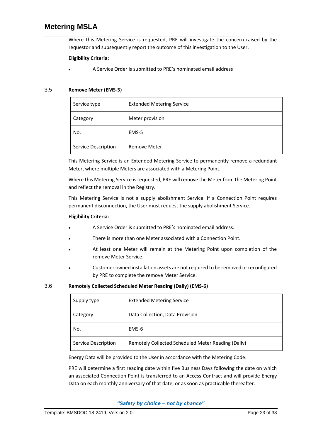Where this Metering Service is requested, PRE will investigate the concern raised by the requestor and subsequently report the outcome of this investigation to the User.

### **Eligibility Criteria:**

• A Service Order is submitted to PRE's nominated email address

### 3.5 **Remove Meter (EMS‐5)**

| Service type        | <b>Extended Metering Service</b> |
|---------------------|----------------------------------|
| Category            | Meter provision                  |
| No.                 | EMS-5                            |
| Service Description | <b>Remove Meter</b>              |

This Metering Service is an Extended Metering Service to permanently remove a redundant Meter, where multiple Meters are associated with a Metering Point.

Where this Metering Service is requested, PRE will remove the Meter from the Metering Point and reflect the removal in the Registry.

This Metering Service is not a supply abolishment Service. If a Connection Point requires permanent disconnection, the User must request the supply abolishment Service.

### **Eligibility Criteria:**

- A Service Order is submitted to PRE's nominated email address.
- There is more than one Meter associated with a Connection Point.
- At least one Meter will remain at the Metering Point upon completion of the remove Meter Service.
- Customer owned installation assets are not required to be removed or reconfigured by PRE to complete the remove Meter Service.

### 3.6 **Remotely Collected Scheduled Meter Reading (Daily) (EMS‐6)**

| Supply type         | <b>Extended Metering Service</b>                   |
|---------------------|----------------------------------------------------|
| Category            | Data Collection, Data Provision                    |
| No.                 | EMS-6                                              |
| Service Description | Remotely Collected Scheduled Meter Reading (Daily) |

Energy Data will be provided to the User in accordance with the Metering Code.

PRE will determine a first reading date within five Business Days following the date on which an associated Connection Point is transferred to an Access Contract and will provide Energy Data on each monthly anniversary of that date, or as soon as practicable thereafter.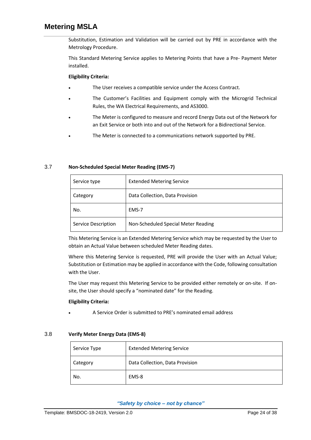Substitution, Estimation and Validation will be carried out by PRE in accordance with the Metrology Procedure.

This Standard Metering Service applies to Metering Points that have a Pre‐ Payment Meter installed.

### **Eligibility Criteria:**

- The User receives a compatible service under the Access Contract.
- The Customer's Facilities and Equipment comply with the Microgrid Technical Rules, the WA Electrical Requirements, and AS3000.
- The Meter is configured to measure and record Energy Data out of the Network for an Exit Service or both into and out of the Network for a Bidirectional Service.
- The Meter is connected to a communications network supported by PRE.

### 3.7 **Non‐Scheduled Special Meter Reading (EMS‐7)**

| Service type        | <b>Extended Metering Service</b>    |
|---------------------|-------------------------------------|
| Category            | Data Collection, Data Provision     |
| No.                 | EMS-7                               |
| Service Description | Non-Scheduled Special Meter Reading |

This Metering Service is an Extended Metering Service which may be requested by the User to obtain an Actual Value between scheduled Meter Reading dates.

Where this Metering Service is requested, PRE will provide the User with an Actual Value; Substitution or Estimation may be applied in accordance with the Code, following consultation with the User.

The User may request this Metering Service to be provided either remotely or on-site. If onsite, the User should specify a "nominated date" for the Reading.

#### **Eligibility Criteria:**

• A Service Order is submitted to PRE's nominated email address

### 3.8 **Verify Meter Energy Data (EMS‐8)**

| Service Type | <b>Extended Metering Service</b> |
|--------------|----------------------------------|
| Category     | Data Collection, Data Provision  |
| No.          | EMS-8                            |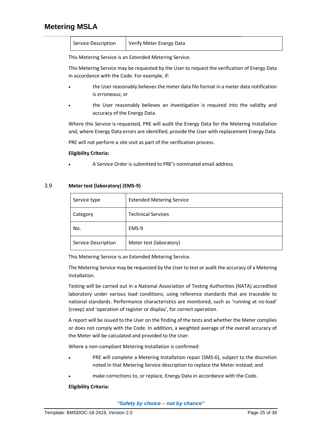| Service Description | Verify Meter Energy Data |
|---------------------|--------------------------|
|                     |                          |

This Metering Service is an Extended Metering Service.

This Metering Service may be requested by the User to request the verification of Energy Data in accordance with the Code. For example, if:

- the User reasonably believes the meter data file format in a meter data notification is erroneous; or
- the User reasonably believes an investigation is required into the validity and accuracy of the Energy Data.

Where this Service is requested, PRE will audit the Energy Data for the Metering Installation and, where Energy Data errors are identified, provide the User with replacement Energy Data.

PRE will not perform a site visit as part of the verification process.

### **Eligibility Criteria:**

• A Service Order is submitted to PRE's nominated email address

### 3.9 **Meter test (laboratory) (EMS‐9)**

| Service type        | <b>Extended Metering Service</b> |
|---------------------|----------------------------------|
| Category            | <b>Technical Services</b>        |
| No.                 | EMS-9                            |
| Service Description | Meter test (laboratory)          |

This Metering Service is an Extended Metering Service.

The Metering Service may be requested by the User to test or audit the accuracy of a Metering Installation.

Testing will be carried out in a National Association of Testing Authorities (NATA) accredited laboratory under various load conditions, using reference standards that are traceable to national standards. Performance characteristics are monitored, such as 'running at no‐load' (creep) and 'operation of register or display', for correct operation.

A report will be issued to the User on the finding of the tests and whether the Meter complies or does not comply with the Code. In addition, a weighted average of the overall accuracy of the Meter will be calculated and provided to the User.

Where a non‐compliant Metering Installation is confirmed:

- PRE will complete a Metering Installation repair (SMS-6), subject to the discretion noted in that Metering Service description to replace the Meter instead; and
- make corrections to, or replace, Energy Data in accordance with the Code.

#### **Eligibility Criteria:**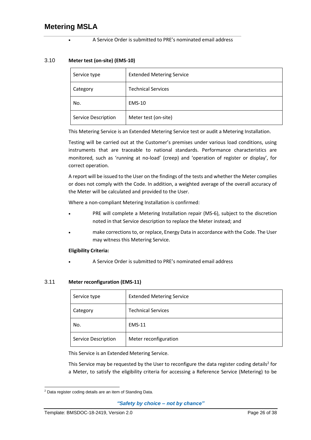### • A Service Order is submitted to PRE's nominated email address

### 3.10 **Meter test (on‐site) (EMS‐10)**

| Service type        | <b>Extended Metering Service</b> |
|---------------------|----------------------------------|
| Category            | <b>Technical Services</b>        |
| No.                 | <b>EMS-10</b>                    |
| Service Description | Meter test (on-site)             |

This Metering Service is an Extended Metering Service test or audit a Metering Installation.

Testing will be carried out at the Customer's premises under various load conditions, using instruments that are traceable to national standards. Performance characteristics are monitored, such as 'running at no‐load' (creep) and 'operation of register or display', for correct operation.

A report will be issued to the User on the findings of the tests and whether the Meter complies or does not comply with the Code. In addition, a weighted average of the overall accuracy of the Meter will be calculated and provided to the User.

Where a non‐compliant Metering Installation is confirmed:

- PRE will complete a Metering Installation repair (MS-6), subject to the discretion noted in that Service description to replace the Meter instead; and
- make corrections to, or replace, Energy Data in accordance with the Code. The User may witness this Metering Service.

### **Eligibility Criteria:**

• A Service Order is submitted to PRE's nominated email address

### 3.11 **Meter reconfiguration (EMS‐11)**

| Service type        | <b>Extended Metering Service</b> |
|---------------------|----------------------------------|
| Category            | <b>Technical Services</b>        |
| No.                 | <b>EMS-11</b>                    |
| Service Description | Meter reconfiguration            |

This Service is an Extended Metering Service.

This Service may be requested by the User to reconfigure the data register coding details<sup>2</sup> for a Meter, to satisfy the eligibility criteria for accessing a Reference Service (Metering) to be

<sup>2</sup> Data register coding details are an item of Standing Data.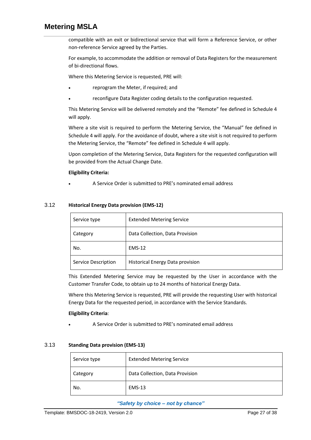compatible with an exit or bidirectional service that will form a Reference Service, or other non‐reference Service agreed by the Parties.

For example, to accommodate the addition or removal of Data Registers for the measurement of bi‐directional flows.

Where this Metering Service is requested, PRE will:

- reprogram the Meter, if required; and
- reconfigure Data Register coding details to the configuration requested.

This Metering Service will be delivered remotely and the "Remote" fee defined in [Schedule 4](#page-36-0) will apply.

Where a site visit is required to perform the Metering Service, the "Manual" fee defined in [Schedule 4](#page-36-0) will apply. For the avoidance of doubt, where a site visit is not required to perform the Metering Service, the "Remote" fee defined in [Schedule 4](#page-36-0) will apply.

Upon completion of the Metering Service, Data Registers for the requested configuration will be provided from the Actual Change Date.

### **Eligibility Criteria:**

• A Service Order is submitted to PRE's nominated email address

### 3.12 **Historical Energy Data provision (EMS‐12)**

| Service type        | <b>Extended Metering Service</b>        |
|---------------------|-----------------------------------------|
| Category            | Data Collection, Data Provision         |
| No.                 | <b>EMS-12</b>                           |
| Service Description | <b>Historical Energy Data provision</b> |

This Extended Metering Service may be requested by the User in accordance with the Customer Transfer Code, to obtain up to 24 months of historical Energy Data.

Where this Metering Service is requested, PRE will provide the requesting User with historical Energy Data for the requested period, in accordance with the Service Standards.

#### **Eligibility Criteria**:

• A Service Order is submitted to PRE's nominated email address

#### 3.13 **Standing Data provision (EMS‐13)**

| Service type | <b>Extended Metering Service</b> |
|--------------|----------------------------------|
| Category     | Data Collection, Data Provision  |
| No.          | <b>EMS-13</b>                    |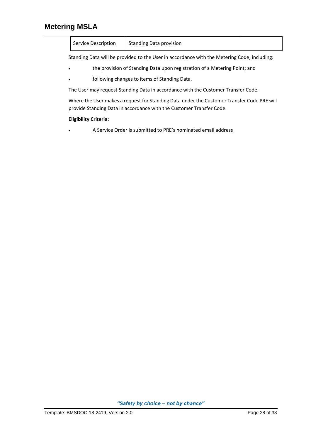| Service Description | Standing Data provision |
|---------------------|-------------------------|
|---------------------|-------------------------|

Standing Data will be provided to the User in accordance with the Metering Code, including:

- the provision of Standing Data upon registration of a Metering Point; and
- following changes to items of Standing Data.

The User may request Standing Data in accordance with the Customer Transfer Code.

Where the User makes a request for Standing Data under the Customer Transfer Code PRE will provide Standing Data in accordance with the Customer Transfer Code.

### **Eligibility Criteria:**

• A Service Order is submitted to PRE's nominated email address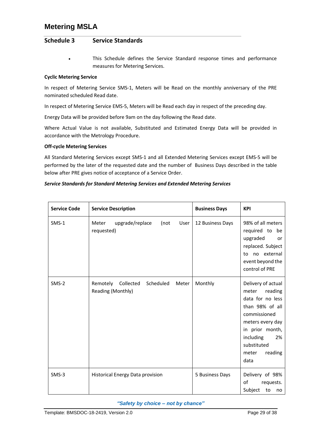### <span id="page-31-0"></span>**Schedule 3 Service Standards**

This Schedule defines the Service Standard response times and performance measures for Metering Services.

### **Cyclic Metering Service**

In respect of Metering Service SMS‐1, Meters will be Read on the monthly anniversary of the PRE nominated scheduled Read date.

In respect of Metering Service EMS-5, Meters will be Read each day in respect of the preceding day.

Energy Data will be provided before 9am on the day following the Read date.

Where Actual Value is not available, Substituted and Estimated Energy Data will be provided in accordance with the Metrology Procedure.

#### **Off‐cycle Metering Services**

All Standard Metering Services except SMS-1 and all Extended Metering Services except EMS-5 will be performed by the later of the requested date and the number of Business Days described in the table below after PRE gives notice of acceptance of a Service Order.

### *Service Standards for Standard Metering Services and Extended Metering Services*

| <b>Service Code</b> | <b>Service Description</b>                                    | <b>Business Days</b> | <b>KPI</b>                                                                                                                                                                                         |
|---------------------|---------------------------------------------------------------|----------------------|----------------------------------------------------------------------------------------------------------------------------------------------------------------------------------------------------|
| $SMS-1$             | upgrade/replace<br>(not<br>User<br>Meter<br>requested)        | 12 Business Days     | 98% of all meters<br>required to<br>be<br>upgraded<br>or<br>replaced. Subject<br>to no external<br>event beyond the<br>control of PRE                                                              |
| SMS-2               | Remotely<br>Collected Scheduled<br>Meter<br>Reading (Monthly) | Monthly              | Delivery of actual<br>reading<br>meter<br>data for no less<br>than 98% of all<br>commissioned<br>meters every day<br>in prior month,<br>including<br>2%<br>substituted<br>reading<br>meter<br>data |
| $SMS-3$             | Historical Energy Data provision                              | 5 Business Days      | Delivery of 98%<br>οf<br>requests.<br>Subject<br>to<br>no                                                                                                                                          |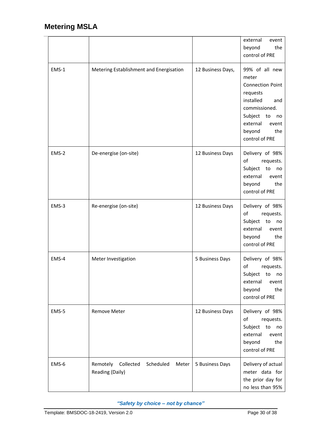|       |                                                                |                   | external<br>event<br>the<br>beyond<br>control of PRE                                                                                                                            |
|-------|----------------------------------------------------------------|-------------------|---------------------------------------------------------------------------------------------------------------------------------------------------------------------------------|
| EMS-1 | Metering Establishment and Energisation                        | 12 Business Days, | 99% of all new<br>meter<br><b>Connection Point</b><br>requests<br>installed<br>and<br>commissioned.<br>Subject to<br>no<br>external<br>event<br>beyond<br>the<br>control of PRE |
| EMS-2 | De-energise (on-site)                                          | 12 Business Days  | Delivery of 98%<br>of<br>requests.<br>Subject<br>to<br>no<br>external<br>event<br>the<br>beyond<br>control of PRE                                                               |
| EMS-3 | Re-energise (on-site)                                          | 12 Business Days  | Delivery of 98%<br>of<br>requests.<br>Subject<br>to<br>no<br>external<br>event<br>beyond<br>the<br>control of PRE                                                               |
| EMS-4 | Meter Investigation                                            | 5 Business Days   | Delivery of 98%<br>of<br>requests.<br>Subject<br>to<br>no<br>external<br>event<br>the<br>beyond<br>control of PRE                                                               |
| EMS-5 | <b>Remove Meter</b>                                            | 12 Business Days  | Delivery of 98%<br>of<br>requests.<br>Subject to<br>no<br>external<br>event<br>the<br>beyond<br>control of PRE                                                                  |
| EMS-6 | Remotely<br>Collected<br>Scheduled<br>Meter<br>Reading (Daily) | 5 Business Days   | Delivery of actual<br>meter data for<br>the prior day for<br>no less than 95%                                                                                                   |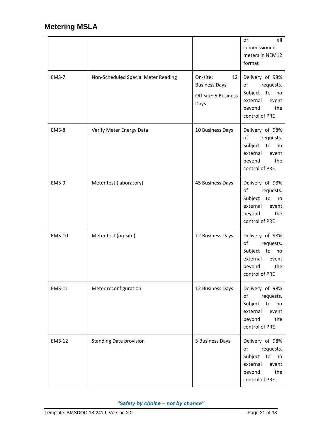|               |                                     |                                                                        | of<br>all<br>commissioned<br>meters in NEM12<br>format                                                            |
|---------------|-------------------------------------|------------------------------------------------------------------------|-------------------------------------------------------------------------------------------------------------------|
| EMS-7         | Non-Scheduled Special Meter Reading | On-site:<br>12<br><b>Business Days</b><br>Off-site: 5 Business<br>Days | Delivery of 98%<br>of<br>requests.<br>Subject<br>to<br>no<br>external<br>event<br>the<br>beyond<br>control of PRE |
| EMS-8         | Verify Meter Energy Data            | 10 Business Days                                                       | Delivery of 98%<br>of<br>requests.<br>Subject<br>to<br>no<br>external<br>event<br>beyond<br>the<br>control of PRE |
| EMS-9         | Meter test (laboratory)             | 45 Business Days                                                       | Delivery of 98%<br>of<br>requests.<br>Subject<br>to<br>no<br>external<br>event<br>beyond<br>the<br>control of PRE |
| <b>EMS-10</b> | Meter test (on-site)                | 12 Business Days                                                       | Delivery of 98%<br>of<br>requests.<br>Subject<br>to<br>no<br>external<br>event<br>the<br>beyond<br>control of PRE |
| <b>EMS-11</b> | Meter reconfiguration               | 12 Business Days                                                       | Delivery of 98%<br>of<br>requests.<br>Subject to<br>no<br>external<br>event<br>beyond<br>the<br>control of PRE    |
| <b>EMS-12</b> | <b>Standing Data provision</b>      | 5 Business Days                                                        | Delivery of 98%<br>of<br>requests.<br>Subject to<br>no<br>external<br>event<br>beyond<br>the<br>control of PRE    |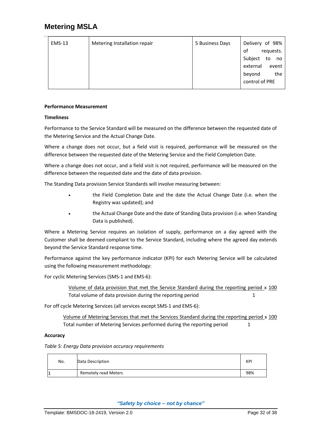| <b>EMS-13</b> | Metering Installation repair | 5 Business Days | Delivery of 98%     |
|---------------|------------------------------|-----------------|---------------------|
|               |                              |                 | of<br>requests.     |
|               |                              |                 | Subject<br>to<br>no |
|               |                              |                 | external<br>event   |
|               |                              |                 | the<br>beyond       |
|               |                              |                 | control of PRE      |
|               |                              |                 |                     |

### **Performance Measurement**

### **Timeliness**

Performance to the Service Standard will be measured on the difference between the requested date of the Metering Service and the Actual Change Date.

Where a change does not occur, but a field visit is required, performance will be measured on the difference between the requested date of the Metering Service and the Field Completion Date.

Where a change does not occur, and a field visit is not required, performance will be measured on the difference between the requested date and the date of data provision.

The Standing Data provision Service Standards will involve measuring between:

- the Field Completion Date and the date the Actual Change Date (i.e. when the Registry was updated); and
- the Actual Change Date and the date of Standing Data provision (i.e. when Standing Data is published).

Where a Metering Service requires an isolation of supply, performance on a day agreed with the Customer shall be deemed compliant to the Service Standard, including where the agreed day extends beyond the Service Standard response time.

Performance against the key performance indicator (KPI) for each Metering Service will be calculated using the following measurement methodology:

For cyclic Metering Services (SMS‐1 and EMS-6):

Volume of data provision that met the Service Standard during the reporting period x 100 Total volume of data provision during the reporting period 1

For off cycle Metering Services (all services except SMS-1 and EMS-6):

Volume of Metering Services that met the Services Standard during the reporting period x 100 Total number of Metering Services performed during the reporting period 1

### **Accuracy**

*Table 5: Energy Data provision accuracy requirements*

| No. | Data Description            | KPI |
|-----|-----------------------------|-----|
| 11  | <b>Remotely read Meters</b> | 98% |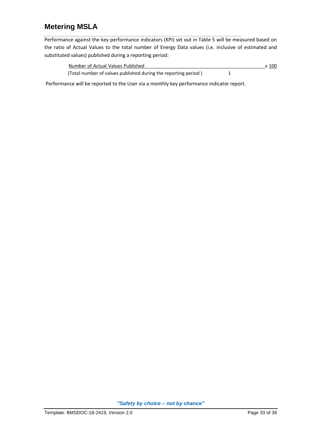Performance against the key performance indicators (KPI) set out in Table 5 will be measured based on the ratio of Actual Values to the total number of Energy Data values (i.e. inclusive of estimated and substituted values) published during a reporting period:

| Number of Actual Values Published                              | x 100 |
|----------------------------------------------------------------|-------|
| (Total number of values published during the reporting period) |       |

Performance will be reported to the User via a monthly key performance indicator report.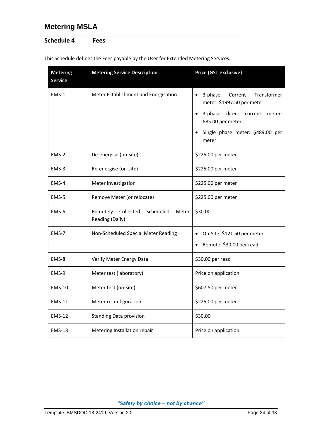### <span id="page-36-0"></span>**Schedule 4 Fees**

| <b>Metering</b><br><b>Service</b> | <b>Metering Service Description</b>                            | Price (GST exclusive)                                                                                                                                                   |  |
|-----------------------------------|----------------------------------------------------------------|-------------------------------------------------------------------------------------------------------------------------------------------------------------------------|--|
| EMS-1                             | Meter Establishment and Energisation                           | Transformer<br>3-phase<br>Current<br>meter: \$1997.50 per meter<br>3-phase<br>direct current<br>meter:<br>685.00 per meter<br>Single phase meter: \$489.00 per<br>meter |  |
| $EMS-2$                           | De-energise (on-site)                                          | \$225.00 per meter                                                                                                                                                      |  |
| EMS-3                             | Re-energise (on-site)                                          | \$225.00 per meter                                                                                                                                                      |  |
| EMS-4                             | Meter Investigation                                            | \$225.00 per meter                                                                                                                                                      |  |
| EMS-5                             | Remove Meter (or relocate)                                     | \$225.00 per meter                                                                                                                                                      |  |
| EMS-6                             | Remotely<br>Collected<br>Scheduled<br>Meter<br>Reading (Daily) | \$30.00                                                                                                                                                                 |  |
| EMS-7                             | Non-Scheduled Special Meter Reading                            | On-Site: \$121.50 per meter<br>Remote: \$30.00 per read                                                                                                                 |  |
| EMS-8                             | Verify Meter Energy Data                                       | \$30.00 per read                                                                                                                                                        |  |
| EMS-9                             | Meter test (laboratory)                                        | Price on application                                                                                                                                                    |  |
| <b>EMS-10</b>                     | Meter test (on-site)                                           | \$607.50 per meter                                                                                                                                                      |  |
| <b>EMS-11</b>                     | Meter reconfiguration                                          | \$225.00 per meter                                                                                                                                                      |  |
| <b>EMS-12</b>                     | <b>Standing Data provision</b>                                 | \$30.00                                                                                                                                                                 |  |
| <b>EMS-13</b>                     | Metering Installation repair                                   | Price on application                                                                                                                                                    |  |

This Schedule defines the Fees payable by the User for Extended Metering Services.